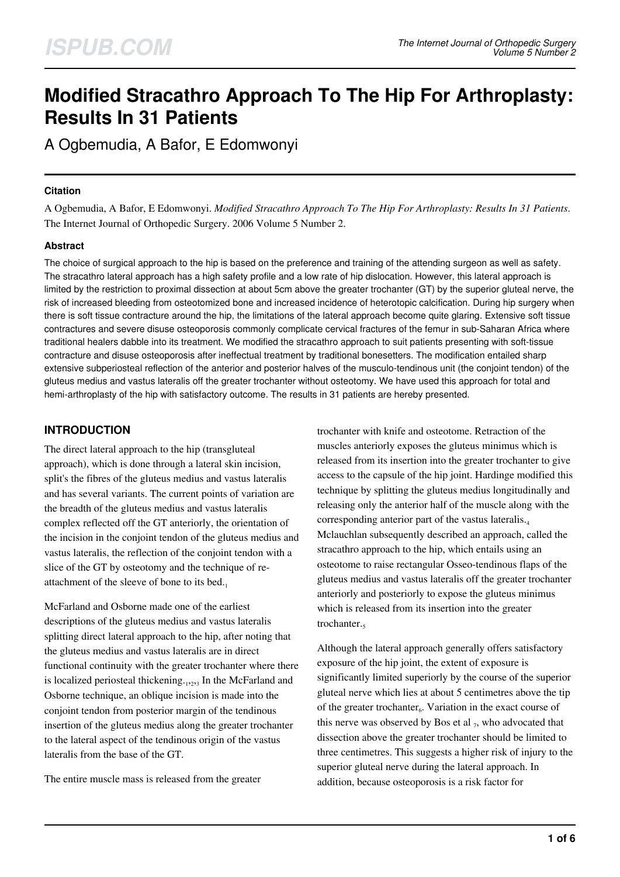# **Modified Stracathro Approach To The Hip For Arthroplasty: Results In 31 Patients**

A Ogbemudia, A Bafor, E Edomwonyi

#### **Citation**

A Ogbemudia, A Bafor, E Edomwonyi. *Modified Stracathro Approach To The Hip For Arthroplasty: Results In 31 Patients*. The Internet Journal of Orthopedic Surgery. 2006 Volume 5 Number 2.

### **Abstract**

The choice of surgical approach to the hip is based on the preference and training of the attending surgeon as well as safety. The stracathro lateral approach has a high safety profile and a low rate of hip dislocation. However, this lateral approach is limited by the restriction to proximal dissection at about 5cm above the greater trochanter (GT) by the superior gluteal nerve, the risk of increased bleeding from osteotomized bone and increased incidence of heterotopic calcification. During hip surgery when there is soft tissue contracture around the hip, the limitations of the lateral approach become quite glaring. Extensive soft tissue contractures and severe disuse osteoporosis commonly complicate cervical fractures of the femur in sub-Saharan Africa where traditional healers dabble into its treatment. We modified the stracathro approach to suit patients presenting with soft-tissue contracture and disuse osteoporosis after ineffectual treatment by traditional bonesetters. The modification entailed sharp extensive subperiosteal reflection of the anterior and posterior halves of the musculo-tendinous unit (the conjoint tendon) of the gluteus medius and vastus lateralis off the greater trochanter without osteotomy. We have used this approach for total and hemi-arthroplasty of the hip with satisfactory outcome. The results in 31 patients are hereby presented.

## **INTRODUCTION**

The direct lateral approach to the hip (transgluteal approach), which is done through a lateral skin incision, split's the fibres of the gluteus medius and vastus lateralis and has several variants. The current points of variation are the breadth of the gluteus medius and vastus lateralis complex reflected off the GT anteriorly, the orientation of the incision in the conjoint tendon of the gluteus medius and vastus lateralis, the reflection of the conjoint tendon with a slice of the GT by osteotomy and the technique of reattachment of the sleeve of bone to its bed. $_1$ 

McFarland and Osborne made one of the earliest descriptions of the gluteus medius and vastus lateralis splitting direct lateral approach to the hip, after noting that the gluteus medius and vastus lateralis are in direct functional continuity with the greater trochanter where there is localized periosteal thickening.<sub>1,2,3</sub> In the McFarland and Osborne technique, an oblique incision is made into the conjoint tendon from posterior margin of the tendinous insertion of the gluteus medius along the greater trochanter to the lateral aspect of the tendinous origin of the vastus lateralis from the base of the GT.

The entire muscle mass is released from the greater

trochanter with knife and osteotome. Retraction of the muscles anteriorly exposes the gluteus minimus which is released from its insertion into the greater trochanter to give access to the capsule of the hip joint. Hardinge modified this technique by splitting the gluteus medius longitudinally and releasing only the anterior half of the muscle along with the corresponding anterior part of the vastus lateralis.<sup>4</sup> Mclauchlan subsequently described an approach, called the stracathro approach to the hip, which entails using an osteotome to raise rectangular Osseo-tendinous flaps of the gluteus medius and vastus lateralis off the greater trochanter anteriorly and posteriorly to expose the gluteus minimus which is released from its insertion into the greater trochanter.

Although the lateral approach generally offers satisfactory exposure of the hip joint, the extent of exposure is significantly limited superiorly by the course of the superior gluteal nerve which lies at about 5 centimetres above the tip of the greater trochanter<sub>6</sub>. Variation in the exact course of this nerve was observed by Bos et al  $_7$ , who advocated that dissection above the greater trochanter should be limited to three centimetres. This suggests a higher risk of injury to the superior gluteal nerve during the lateral approach. In addition, because osteoporosis is a risk factor for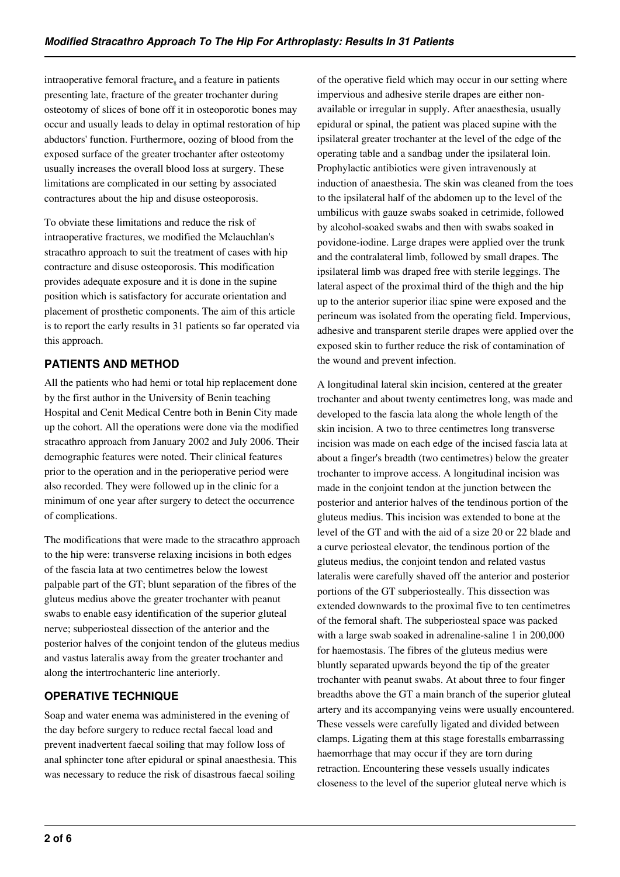intraoperative femoral fracture<sub>s</sub> and a feature in patients presenting late, fracture of the greater trochanter during osteotomy of slices of bone off it in osteoporotic bones may occur and usually leads to delay in optimal restoration of hip abductors' function. Furthermore, oozing of blood from the exposed surface of the greater trochanter after osteotomy usually increases the overall blood loss at surgery. These limitations are complicated in our setting by associated contractures about the hip and disuse osteoporosis.

To obviate these limitations and reduce the risk of intraoperative fractures, we modified the Mclauchlan's stracathro approach to suit the treatment of cases with hip contracture and disuse osteoporosis. This modification provides adequate exposure and it is done in the supine position which is satisfactory for accurate orientation and placement of prosthetic components. The aim of this article is to report the early results in 31 patients so far operated via this approach.

## **PATIENTS AND METHOD**

All the patients who had hemi or total hip replacement done by the first author in the University of Benin teaching Hospital and Cenit Medical Centre both in Benin City made up the cohort. All the operations were done via the modified stracathro approach from January 2002 and July 2006. Their demographic features were noted. Their clinical features prior to the operation and in the perioperative period were also recorded. They were followed up in the clinic for a minimum of one year after surgery to detect the occurrence of complications.

The modifications that were made to the stracathro approach to the hip were: transverse relaxing incisions in both edges of the fascia lata at two centimetres below the lowest palpable part of the GT; blunt separation of the fibres of the gluteus medius above the greater trochanter with peanut swabs to enable easy identification of the superior gluteal nerve; subperiosteal dissection of the anterior and the posterior halves of the conjoint tendon of the gluteus medius and vastus lateralis away from the greater trochanter and along the intertrochanteric line anteriorly.

# **OPERATIVE TECHNIQUE**

Soap and water enema was administered in the evening of the day before surgery to reduce rectal faecal load and prevent inadvertent faecal soiling that may follow loss of anal sphincter tone after epidural or spinal anaesthesia. This was necessary to reduce the risk of disastrous faecal soiling

of the operative field which may occur in our setting where impervious and adhesive sterile drapes are either nonavailable or irregular in supply. After anaesthesia, usually epidural or spinal, the patient was placed supine with the ipsilateral greater trochanter at the level of the edge of the operating table and a sandbag under the ipsilateral loin. Prophylactic antibiotics were given intravenously at induction of anaesthesia. The skin was cleaned from the toes to the ipsilateral half of the abdomen up to the level of the umbilicus with gauze swabs soaked in cetrimide, followed by alcohol-soaked swabs and then with swabs soaked in povidone-iodine. Large drapes were applied over the trunk and the contralateral limb, followed by small drapes. The ipsilateral limb was draped free with sterile leggings. The lateral aspect of the proximal third of the thigh and the hip up to the anterior superior iliac spine were exposed and the perineum was isolated from the operating field. Impervious, adhesive and transparent sterile drapes were applied over the exposed skin to further reduce the risk of contamination of the wound and prevent infection.

A longitudinal lateral skin incision, centered at the greater trochanter and about twenty centimetres long, was made and developed to the fascia lata along the whole length of the skin incision. A two to three centimetres long transverse incision was made on each edge of the incised fascia lata at about a finger's breadth (two centimetres) below the greater trochanter to improve access. A longitudinal incision was made in the conjoint tendon at the junction between the posterior and anterior halves of the tendinous portion of the gluteus medius. This incision was extended to bone at the level of the GT and with the aid of a size 20 or 22 blade and a curve periosteal elevator, the tendinous portion of the gluteus medius, the conjoint tendon and related vastus lateralis were carefully shaved off the anterior and posterior portions of the GT subperiosteally. This dissection was extended downwards to the proximal five to ten centimetres of the femoral shaft. The subperiosteal space was packed with a large swab soaked in adrenaline-saline 1 in 200,000 for haemostasis. The fibres of the gluteus medius were bluntly separated upwards beyond the tip of the greater trochanter with peanut swabs. At about three to four finger breadths above the GT a main branch of the superior gluteal artery and its accompanying veins were usually encountered. These vessels were carefully ligated and divided between clamps. Ligating them at this stage forestalls embarrassing haemorrhage that may occur if they are torn during retraction. Encountering these vessels usually indicates closeness to the level of the superior gluteal nerve which is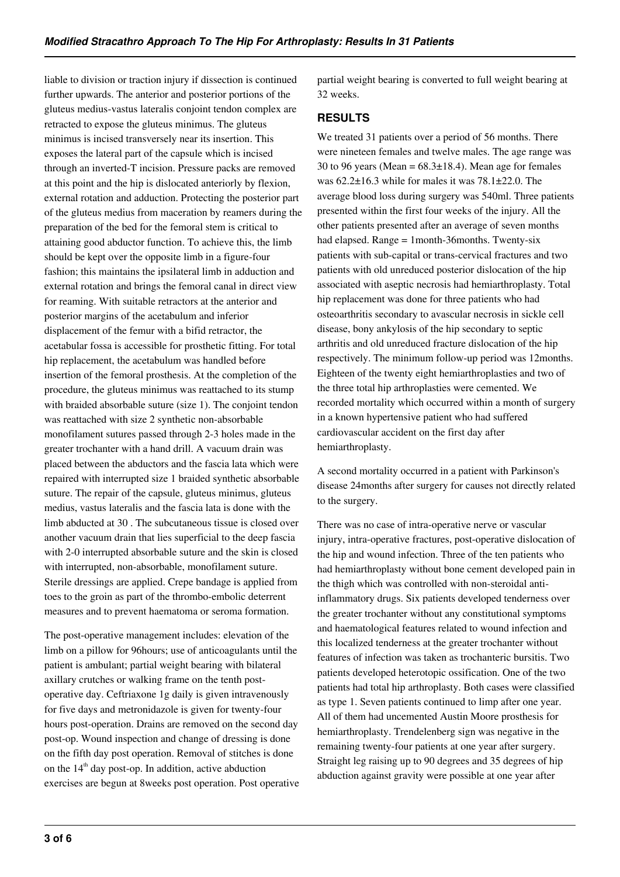liable to division or traction injury if dissection is continued further upwards. The anterior and posterior portions of the gluteus medius-vastus lateralis conjoint tendon complex are retracted to expose the gluteus minimus. The gluteus minimus is incised transversely near its insertion. This exposes the lateral part of the capsule which is incised through an inverted-T incision. Pressure packs are removed at this point and the hip is dislocated anteriorly by flexion, external rotation and adduction. Protecting the posterior part of the gluteus medius from maceration by reamers during the preparation of the bed for the femoral stem is critical to attaining good abductor function. To achieve this, the limb should be kept over the opposite limb in a figure-four fashion; this maintains the ipsilateral limb in adduction and external rotation and brings the femoral canal in direct view for reaming. With suitable retractors at the anterior and posterior margins of the acetabulum and inferior displacement of the femur with a bifid retractor, the acetabular fossa is accessible for prosthetic fitting. For total hip replacement, the acetabulum was handled before insertion of the femoral prosthesis. At the completion of the procedure, the gluteus minimus was reattached to its stump with braided absorbable suture (size 1). The conjoint tendon was reattached with size 2 synthetic non-absorbable monofilament sutures passed through 2-3 holes made in the greater trochanter with a hand drill. A vacuum drain was placed between the abductors and the fascia lata which were repaired with interrupted size 1 braided synthetic absorbable suture. The repair of the capsule, gluteus minimus, gluteus medius, vastus lateralis and the fascia lata is done with the limb abducted at 30 . The subcutaneous tissue is closed over another vacuum drain that lies superficial to the deep fascia with 2-0 interrupted absorbable suture and the skin is closed with interrupted, non-absorbable, monofilament suture. Sterile dressings are applied. Crepe bandage is applied from toes to the groin as part of the thrombo-embolic deterrent measures and to prevent haematoma or seroma formation.

The post-operative management includes: elevation of the limb on a pillow for 96hours; use of anticoagulants until the patient is ambulant; partial weight bearing with bilateral axillary crutches or walking frame on the tenth postoperative day. Ceftriaxone 1g daily is given intravenously for five days and metronidazole is given for twenty-four hours post-operation. Drains are removed on the second day post-op. Wound inspection and change of dressing is done on the fifth day post operation. Removal of stitches is done on the  $14<sup>th</sup>$  day post-op. In addition, active abduction exercises are begun at 8weeks post operation. Post operative partial weight bearing is converted to full weight bearing at 32 weeks.

## **RESULTS**

We treated 31 patients over a period of 56 months. There were nineteen females and twelve males. The age range was 30 to 96 years (Mean =  $68.3 \pm 18.4$ ). Mean age for females was 62.2±16.3 while for males it was 78.1±22.0. The average blood loss during surgery was 540ml. Three patients presented within the first four weeks of the injury. All the other patients presented after an average of seven months had elapsed. Range = 1month-36months. Twenty-six patients with sub-capital or trans-cervical fractures and two patients with old unreduced posterior dislocation of the hip associated with aseptic necrosis had hemiarthroplasty. Total hip replacement was done for three patients who had osteoarthritis secondary to avascular necrosis in sickle cell disease, bony ankylosis of the hip secondary to septic arthritis and old unreduced fracture dislocation of the hip respectively. The minimum follow-up period was 12months. Eighteen of the twenty eight hemiarthroplasties and two of the three total hip arthroplasties were cemented. We recorded mortality which occurred within a month of surgery in a known hypertensive patient who had suffered cardiovascular accident on the first day after hemiarthroplasty.

A second mortality occurred in a patient with Parkinson's disease 24months after surgery for causes not directly related to the surgery.

There was no case of intra-operative nerve or vascular injury, intra-operative fractures, post-operative dislocation of the hip and wound infection. Three of the ten patients who had hemiarthroplasty without bone cement developed pain in the thigh which was controlled with non-steroidal antiinflammatory drugs. Six patients developed tenderness over the greater trochanter without any constitutional symptoms and haematological features related to wound infection and this localized tenderness at the greater trochanter without features of infection was taken as trochanteric bursitis. Two patients developed heterotopic ossification. One of the two patients had total hip arthroplasty. Both cases were classified as type 1. Seven patients continued to limp after one year. All of them had uncemented Austin Moore prosthesis for hemiarthroplasty. Trendelenberg sign was negative in the remaining twenty-four patients at one year after surgery. Straight leg raising up to 90 degrees and 35 degrees of hip abduction against gravity were possible at one year after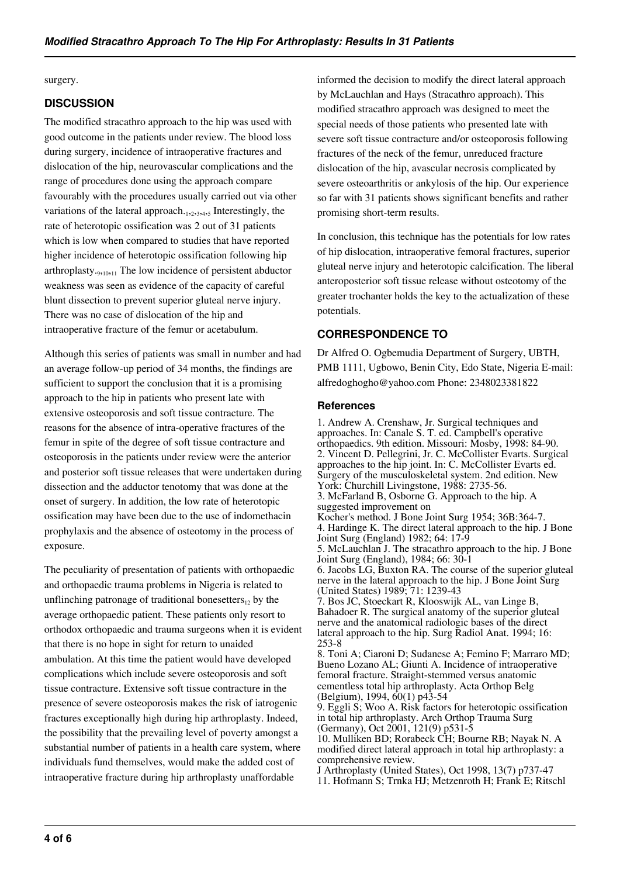#### surgery.

#### **DISCUSSION**

The modified stracathro approach to the hip was used with good outcome in the patients under review. The blood loss during surgery, incidence of intraoperative fractures and dislocation of the hip, neurovascular complications and the range of procedures done using the approach compare favourably with the procedures usually carried out via other variations of the lateral approach.<sub>1,2,3,4,5</sub> Interestingly, the rate of heterotopic ossification was 2 out of 31 patients which is low when compared to studies that have reported higher incidence of heterotopic ossification following hip arthroplasty.<sub>9,10,11</sub> The low incidence of persistent abductor weakness was seen as evidence of the capacity of careful blunt dissection to prevent superior gluteal nerve injury. There was no case of dislocation of the hip and intraoperative fracture of the femur or acetabulum.

Although this series of patients was small in number and had an average follow-up period of 34 months, the findings are sufficient to support the conclusion that it is a promising approach to the hip in patients who present late with extensive osteoporosis and soft tissue contracture. The reasons for the absence of intra-operative fractures of the femur in spite of the degree of soft tissue contracture and osteoporosis in the patients under review were the anterior and posterior soft tissue releases that were undertaken during dissection and the adductor tenotomy that was done at the onset of surgery. In addition, the low rate of heterotopic ossification may have been due to the use of indomethacin prophylaxis and the absence of osteotomy in the process of exposure.

The peculiarity of presentation of patients with orthopaedic and orthopaedic trauma problems in Nigeria is related to unflinching patronage of traditional bonesetters, by the average orthopaedic patient. These patients only resort to orthodox orthopaedic and trauma surgeons when it is evident that there is no hope in sight for return to unaided ambulation. At this time the patient would have developed complications which include severe osteoporosis and soft tissue contracture. Extensive soft tissue contracture in the presence of severe osteoporosis makes the risk of iatrogenic fractures exceptionally high during hip arthroplasty. Indeed, the possibility that the prevailing level of poverty amongst a substantial number of patients in a health care system, where individuals fund themselves, would make the added cost of intraoperative fracture during hip arthroplasty unaffordable

informed the decision to modify the direct lateral approach by McLauchlan and Hays (Stracathro approach). This modified stracathro approach was designed to meet the special needs of those patients who presented late with severe soft tissue contracture and/or osteoporosis following fractures of the neck of the femur, unreduced fracture dislocation of the hip, avascular necrosis complicated by severe osteoarthritis or ankylosis of the hip. Our experience so far with 31 patients shows significant benefits and rather promising short-term results.

In conclusion, this technique has the potentials for low rates of hip dislocation, intraoperative femoral fractures, superior gluteal nerve injury and heterotopic calcification. The liberal anteroposterior soft tissue release without osteotomy of the greater trochanter holds the key to the actualization of these potentials.

#### **CORRESPONDENCE TO**

Dr Alfred O. Ogbemudia Department of Surgery, UBTH, PMB 1111, Ugbowo, Benin City, Edo State, Nigeria E-mail: alfredoghogho@yahoo.com Phone: 2348023381822

#### **References**

1. Andrew A. Crenshaw, Jr. Surgical techniques and approaches. In: Canale S. T. ed. Campbell's operative orthopaedics. 9th edition. Missouri: Mosby, 1998: 84-90. 2. Vincent D. Pellegrini, Jr. C. McCollister Evarts. Surgical approaches to the hip joint. In: C. McCollister Evarts ed. Surgery of the musculoskeletal system. 2nd edition. New York: Churchill Livingstone, 1988: 2735-56. 3. McFarland B, Osborne G. Approach to the hip. A suggested improvement on Kocher's method. J Bone Joint Surg 1954; 36B:364-7. 4. Hardinge K. The direct lateral approach to the hip. J Bone Joint Surg (England) 1982; 64: 17-9 5. McLauchlan J. The stracathro approach to the hip. J Bone Joint Surg (England), 1984; 66: 30-1 6. Jacobs LG, Buxton RA. The course of the superior gluteal nerve in the lateral approach to the hip. J Bone Joint Surg (United States) 1989; 71: 1239-43 7. Bos JC, Stoeckart R, Klooswijk AL, van Linge B, Bahadoer R. The surgical anatomy of the superior gluteal nerve and the anatomical radiologic bases of the direct lateral approach to the hip. Surg Radiol Anat. 1994; 16: 253-8 8. Toni A; Ciaroni D; Sudanese A; Femino F; Marraro MD; Bueno Lozano AL; Giunti A. Incidence of intraoperative femoral fracture. Straight-stemmed versus anatomic cementless total hip arthroplasty. Acta Orthop Belg (Belgium), 1994, 60(1) p43-54 9. Eggli S; Woo A. Risk factors for heterotopic ossification in total hip arthroplasty. Arch Orthop Trauma Surg (Germany), Oct 2001, 121(9) p531-5 10. Mulliken BD; Rorabeck CH; Bourne RB; Nayak N. A

modified direct lateral approach in total hip arthroplasty: a comprehensive review.

J Arthroplasty (United States), Oct 1998, 13(7) p737-47 11. Hofmann S; Trnka HJ; Metzenroth H; Frank E; Ritschl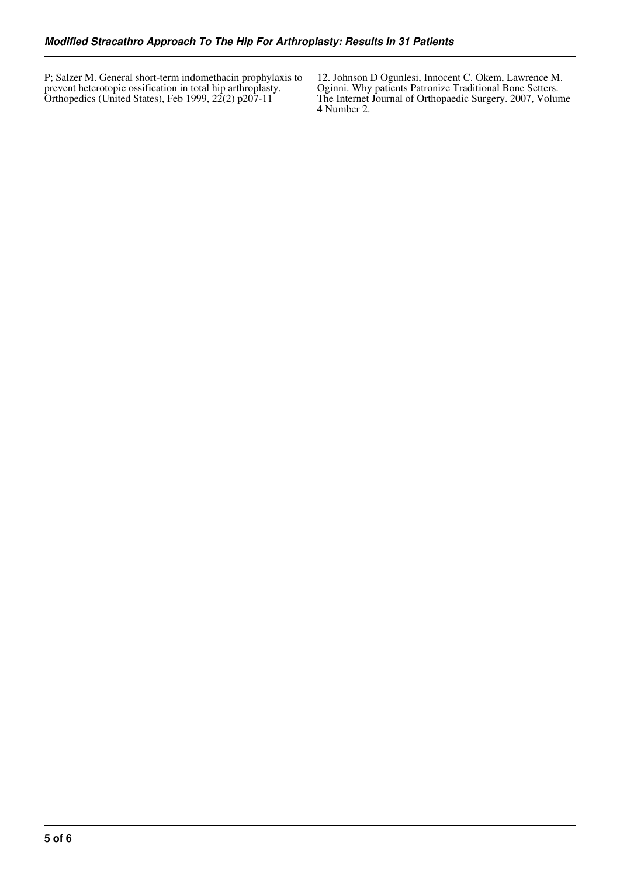P; Salzer M. General short-term indomethacin prophylaxis to prevent heterotopic ossification in total hip arthroplasty. Orthopedics (United States), Feb 1999, 22(2) p207-11

12. Johnson D Ogunlesi, Innocent C. Okem, Lawrence M. Oginni. Why patients Patronize Traditional Bone Setters. The Internet Journal of Orthopaedic Surgery. 2007, Volume 4 Number 2.